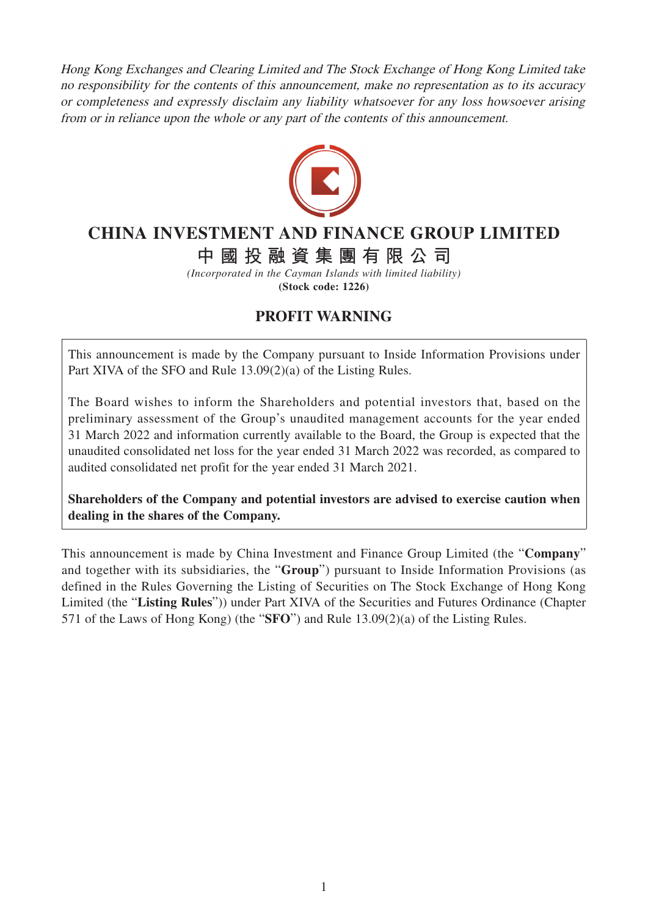Hong Kong Exchanges and Clearing Limited and The Stock Exchange of Hong Kong Limited take no responsibility for the contents of this announcement, make no representation as to its accuracy or completeness and expressly disclaim any liability whatsoever for any loss howsoever arising from or in reliance upon the whole or any part of the contents of this announcement.



## **CHINA INVESTMENT AND FINANCE GROUP LIMITED**

**中國投融資集團有限公司**

*(Incorporated in the Cayman Islands with limited liability)* **(Stock code: 1226)**

## **PROFIT WARNING**

This announcement is made by the Company pursuant to Inside Information Provisions under Part XIVA of the SFO and Rule 13.09(2)(a) of the Listing Rules.

The Board wishes to inform the Shareholders and potential investors that, based on the preliminary assessment of the Group's unaudited management accounts for the year ended 31 March 2022 and information currently available to the Board, the Group is expected that the unaudited consolidated net loss for the year ended 31 March 2022 was recorded, as compared to audited consolidated net profit for the year ended 31 March 2021.

**Shareholders of the Company and potential investors are advised to exercise caution when dealing in the shares of the Company.**

This announcement is made by China Investment and Finance Group Limited (the "**Company**" and together with its subsidiaries, the "**Group**") pursuant to Inside Information Provisions (as defined in the Rules Governing the Listing of Securities on The Stock Exchange of Hong Kong Limited (the "**Listing Rules**")) under Part XIVA of the Securities and Futures Ordinance (Chapter 571 of the Laws of Hong Kong) (the "**SFO**") and Rule 13.09(2)(a) of the Listing Rules.